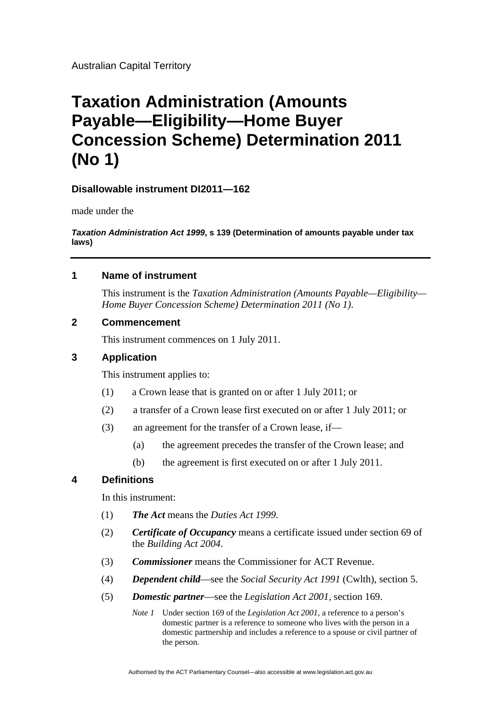# **Taxation Administration (Amounts Payable—Eligibility—Home Buyer Concession Scheme) Determination 2011 (No 1)**

# **Disallowable instrument DI2011—162**

made under the

*Taxation Administration Act 1999***, s 139 (Determination of amounts payable under tax laws)**

## **1 Name of instrument**

This instrument is the *Taxation Administration (Amounts Payable—Eligibility— Home Buyer Concession Scheme) Determination 2011 (No 1)*.

## **2 Commencement**

This instrument commences on 1 July 2011.

# **3 Application**

This instrument applies to:

- (1) a Crown lease that is granted on or after 1 July 2011; or
- (2) a transfer of a Crown lease first executed on or after 1 July 2011; or
- (3) an agreement for the transfer of a Crown lease, if—
	- (a) the agreement precedes the transfer of the Crown lease; and
	- (b) the agreement is first executed on or after 1 July 2011.

## **4 Definitions**

In this instrument:

- (1) *The Act* means the *Duties Act 1999*.
- (2) *Certificate of Occupancy* means a certificate issued under section 69 of the *Building Act 2004*.
- (3) *Commissioner* means the Commissioner for ACT Revenue.
- (4) *Dependent child*—see the *Social Security Act 1991* (Cwlth), section 5.
- (5) *Domestic partner*—see the *Legislation Act 2001,* section 169.
	- *Note 1* Under section 169 of the *Legislation Act 2001*, a reference to a person's domestic partner is a reference to someone who lives with the person in a domestic partnership and includes a reference to a spouse or civil partner of the person.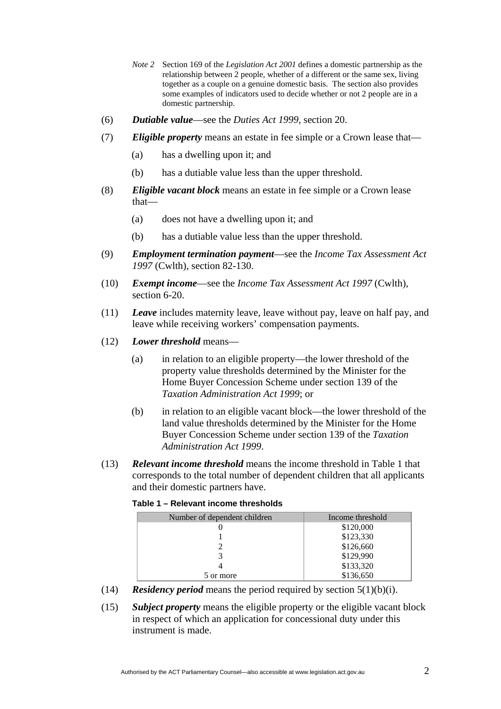- *Note 2* Section 169 of the *Legislation Act 2001* defines a domestic partnership as the relationship between 2 people, whether of a different or the same sex, living together as a couple on a genuine domestic basis. The section also provides some examples of indicators used to decide whether or not 2 people are in a domestic partnership.
- (6) *Dutiable value*—see the *Duties Act 1999,* section 20.
- (7) *Eligible property* means an estate in fee simple or a Crown lease that—
	- (a) has a dwelling upon it; and
	- (b) has a dutiable value less than the upper threshold.
- (8) *Eligible vacant block* means an estate in fee simple or a Crown lease that—
	- (a) does not have a dwelling upon it; and
	- (b) has a dutiable value less than the upper threshold.
- (9) *Employment termination payment*—see the *Income Tax Assessment Act 1997* (Cwlth), section 82-130.
- (10) *Exempt income*—see the *Income Tax Assessment Act 1997* (Cwlth), section 6-20.
- (11) *Leave* includes maternity leave, leave without pay, leave on half pay, and leave while receiving workers' compensation payments.
- (12) *Lower threshold* means—
	- (a) in relation to an eligible property—the lower threshold of the property value thresholds determined by the Minister for the Home Buyer Concession Scheme under section 139 of the *Taxation Administration Act 1999*; or
	- (b) in relation to an eligible vacant block—the lower threshold of the land value thresholds determined by the Minister for the Home Buyer Concession Scheme under section 139 of the *Taxation Administration Act 1999*.
- (13) *Relevant income threshold* means the income threshold in Table 1 that corresponds to the total number of dependent children that all applicants and their domestic partners have.

#### **Table 1 – Relevant income thresholds**

| Number of dependent children | Income threshold |
|------------------------------|------------------|
|                              | \$120,000        |
|                              | \$123,330        |
|                              | \$126,660        |
|                              | \$129,990        |
|                              | \$133,320        |
| 5 or more                    | \$136,650        |

- (14) *Residency period* means the period required by section  $5(1)(b)(i)$ .
- (15) *Subject property* means the eligible property or the eligible vacant block in respect of which an application for concessional duty under this instrument is made.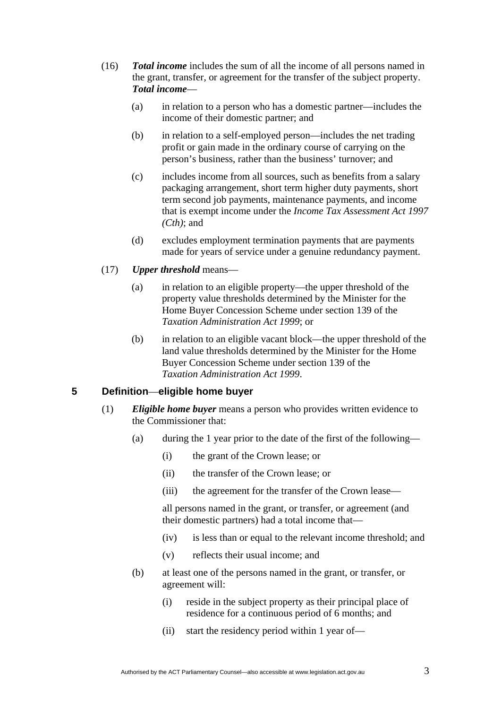- (16) *Total income* includes the sum of all the income of all persons named in the grant, transfer, or agreement for the transfer of the subject property. *Total income*—
	- (a) in relation to a person who has a domestic partner—includes the income of their domestic partner; and
	- (b) in relation to a self-employed person—includes the net trading profit or gain made in the ordinary course of carrying on the person's business, rather than the business' turnover; and
	- (c) includes income from all sources, such as benefits from a salary packaging arrangement, short term higher duty payments, short term second job payments, maintenance payments, and income that is exempt income under the *Income Tax Assessment Act 1997 (Cth)*; and
	- (d) excludes employment termination payments that are payments made for years of service under a genuine redundancy payment.
- (17) *Upper threshold* means—
	- (a) in relation to an eligible property—the upper threshold of the property value thresholds determined by the Minister for the Home Buyer Concession Scheme under section 139 of the *Taxation Administration Act 1999*; or
	- (b) in relation to an eligible vacant block—the upper threshold of the land value thresholds determined by the Minister for the Home Buyer Concession Scheme under section 139 of the *Taxation Administration Act 1999*.

# **5 Definition**—**eligible home buyer**

- (1) *Eligible home buyer* means a person who provides written evidence to the Commissioner that:
	- (a) during the 1 year prior to the date of the first of the following—
		- (i) the grant of the Crown lease; or
		- (ii) the transfer of the Crown lease; or
		- (iii) the agreement for the transfer of the Crown lease—

all persons named in the grant, or transfer, or agreement (and their domestic partners) had a total income that—

- (iv) is less than or equal to the relevant income threshold; and
- (v) reflects their usual income; and
- (b) at least one of the persons named in the grant, or transfer, or agreement will:
	- (i) reside in the subject property as their principal place of residence for a continuous period of 6 months; and
	- (ii) start the residency period within 1 year of—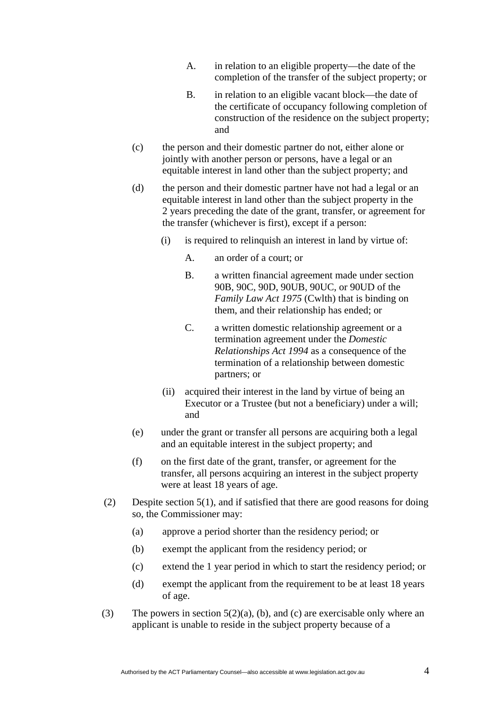- A. in relation to an eligible property—the date of the completion of the transfer of the subject property; or
- B. in relation to an eligible vacant block—the date of the certificate of occupancy following completion of construction of the residence on the subject property; and
- (c) the person and their domestic partner do not, either alone or jointly with another person or persons, have a legal or an equitable interest in land other than the subject property; and
- (d) the person and their domestic partner have not had a legal or an equitable interest in land other than the subject property in the 2 years preceding the date of the grant, transfer, or agreement for the transfer (whichever is first), except if a person:
	- (i) is required to relinquish an interest in land by virtue of:
		- A. an order of a court; or
		- B. a written financial agreement made under section 90B, 90C, 90D, 90UB, 90UC, or 90UD of the *Family Law Act 1975* (Cwlth) that is binding on them, and their relationship has ended; or
		- C. a written domestic relationship agreement or a termination agreement under the *Domestic Relationships Act 1994* as a consequence of the termination of a relationship between domestic partners; or
	- (ii) acquired their interest in the land by virtue of being an Executor or a Trustee (but not a beneficiary) under a will; and
- (e) under the grant or transfer all persons are acquiring both a legal and an equitable interest in the subject property; and
- (f) on the first date of the grant, transfer, or agreement for the transfer, all persons acquiring an interest in the subject property were at least 18 years of age.
- (2) Despite section 5(1), and if satisfied that there are good reasons for doing so, the Commissioner may:
	- (a) approve a period shorter than the residency period; or
	- (b) exempt the applicant from the residency period; or
	- (c) extend the 1 year period in which to start the residency period; or
	- (d) exempt the applicant from the requirement to be at least 18 years of age.
- (3) The powers in section  $5(2)(a)$ , (b), and (c) are exercisable only where an applicant is unable to reside in the subject property because of a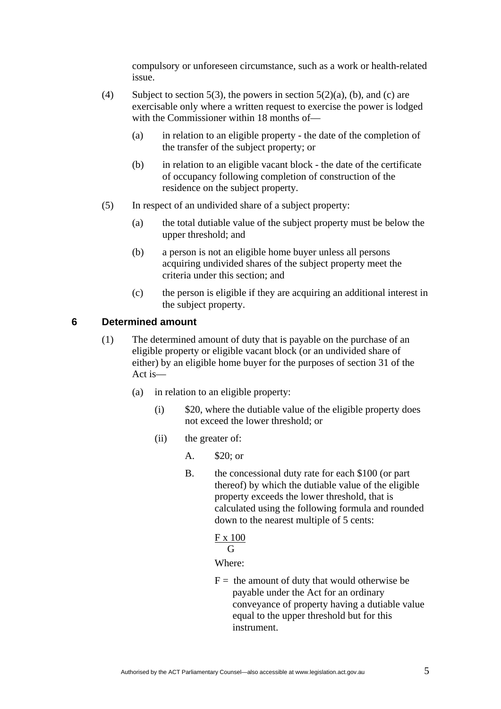compulsory or unforeseen circumstance, such as a work or health-related issue.

- (4) Subject to section 5(3), the powers in section 5(2)(a), (b), and (c) are exercisable only where a written request to exercise the power is lodged with the Commissioner within 18 months of—
	- (a) in relation to an eligible property the date of the completion of the transfer of the subject property; or
	- (b) in relation to an eligible vacant block the date of the certificate of occupancy following completion of construction of the residence on the subject property.
- (5) In respect of an undivided share of a subject property:
	- (a) the total dutiable value of the subject property must be below the upper threshold; and
	- (b) a person is not an eligible home buyer unless all persons acquiring undivided shares of the subject property meet the criteria under this section; and
	- (c) the person is eligible if they are acquiring an additional interest in the subject property.

# **6 Determined amount**

- (1) The determined amount of duty that is payable on the purchase of an eligible property or eligible vacant block (or an undivided share of either) by an eligible home buyer for the purposes of section 31 of the Act is—
	- (a) in relation to an eligible property:
		- (i) \$20, where the dutiable value of the eligible property does not exceed the lower threshold; or
		- (ii) the greater of:
			- A. \$20; or
			- B. the concessional duty rate for each \$100 (or part thereof) by which the dutiable value of the eligible property exceeds the lower threshold, that is calculated using the following formula and rounded down to the nearest multiple of 5 cents:

#### F x 100 G

## Where:

 $F =$  the amount of duty that would otherwise be payable under the Act for an ordinary conveyance of property having a dutiable value equal to the upper threshold but for this instrument.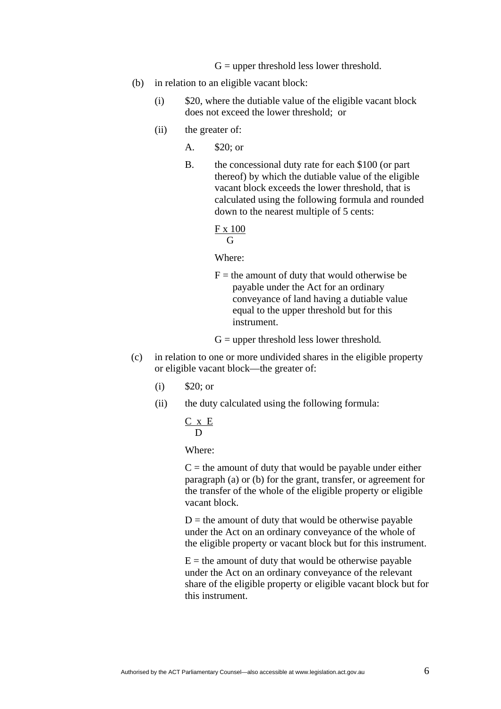$G =$  upper threshold less lower threshold.

- (b) in relation to an eligible vacant block:
	- (i) \$20, where the dutiable value of the eligible vacant block does not exceed the lower threshold; or
	- (ii) the greater of:
		- A. \$20; or
		- B. the concessional duty rate for each \$100 (or part thereof) by which the dutiable value of the eligible vacant block exceeds the lower threshold, that is calculated using the following formula and rounded down to the nearest multiple of 5 cents:

#### F x 100 G

Where:

- $F =$  the amount of duty that would otherwise be payable under the Act for an ordinary conveyance of land having a dutiable value equal to the upper threshold but for this instrument.
- G = upper threshold less lower threshold*.*
- (c) in relation to one or more undivided shares in the eligible property or eligible vacant block—the greater of:
	- (i) \$20; or
	- (ii) the duty calculated using the following formula:

$$
\frac{C \times E}{D}
$$

Where:

 $C =$  the amount of duty that would be payable under either paragraph (a) or (b) for the grant, transfer, or agreement for the transfer of the whole of the eligible property or eligible vacant block.

 $D =$  the amount of duty that would be otherwise payable under the Act on an ordinary conveyance of the whole of the eligible property or vacant block but for this instrument.

 $E =$  the amount of duty that would be otherwise payable under the Act on an ordinary conveyance of the relevant share of the eligible property or eligible vacant block but for this instrument.